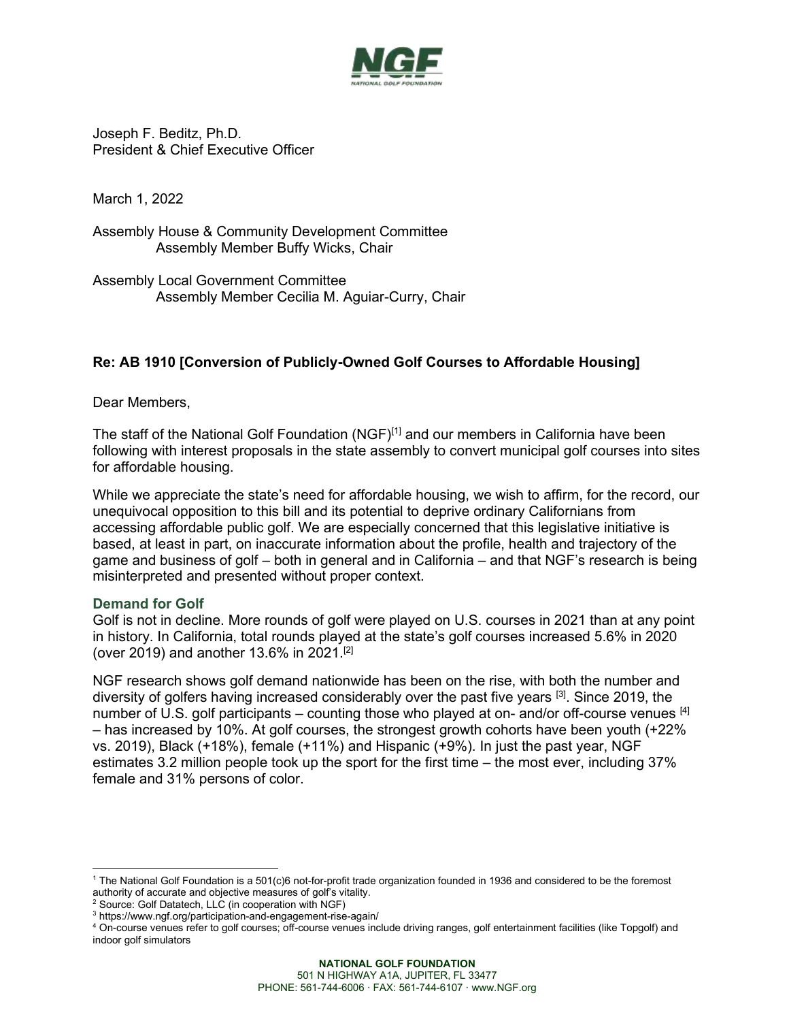

Joseph F. Beditz, Ph.D. President & Chief Executive Officer

March 1, 2022

Assembly House & Community Development Committee Assembly Member Buffy Wicks, Chair

Assembly Local Government Committee Assembly Member Cecilia M. Aguiar-Curry, Chair

## **Re: AB 1910 [Conversion of Publicly-Owned Golf Courses to Affordable Housing]**

Dear Members,

The staff of the National Golf Foundation (NGF)<sup>[1]</sup> and our members in California have been following with interest proposals in the state assembly to convert municipal golf courses into sites for affordable housing.

While we appreciate the state's need for affordable housing, we wish to affirm, for the record, our unequivocal opposition to this bill and its potential to deprive ordinary Californians from accessing affordable public golf. We are especially concerned that this legislative initiative is based, at least in part, on inaccurate information about the profile, health and trajectory of the game and business of golf – both in general and in California – and that NGF's research is being misinterpreted and presented without proper context.

## **Demand for Golf**

Golf is not in decline. More rounds of golf were played on U.S. courses in 2021 than at any point in history. In California, total rounds played at the state's golf courses increased 5.6% in 2020 (over 2019) and another 13.6% in 2021. [2]

NGF research shows golf demand nationwide has been on the rise, with both the number and diversity of golfers having increased considerably over the past five years <sup>[3]</sup>. Since 2019, the number of U.S. golf participants – counting those who played at on- and/or off-course venues  $[4]$ – has increased by 10%. At golf courses, the strongest growth cohorts have been youth (+22% vs. 2019), Black (+18%), female (+11%) and Hispanic (+9%). In just the past year, NGF estimates 3.2 million people took up the sport for the first time – the most ever, including 37% female and 31% persons of color.

<sup>1</sup> The National Golf Foundation is a 501(c)6 not-for-profit trade organization founded in 1936 and considered to be the foremost authority of accurate and objective measures of golf's vitality.

<sup>&</sup>lt;sup>2</sup> Source: Golf Datatech, LLC (in cooperation with NGF)

<sup>3</sup> https://www.ngf.org/participation-and-engagement-rise-again/

<sup>4</sup> On-course venues refer to golf courses; off-course venues include driving ranges, golf entertainment facilities (like Topgolf) and indoor golf simulators